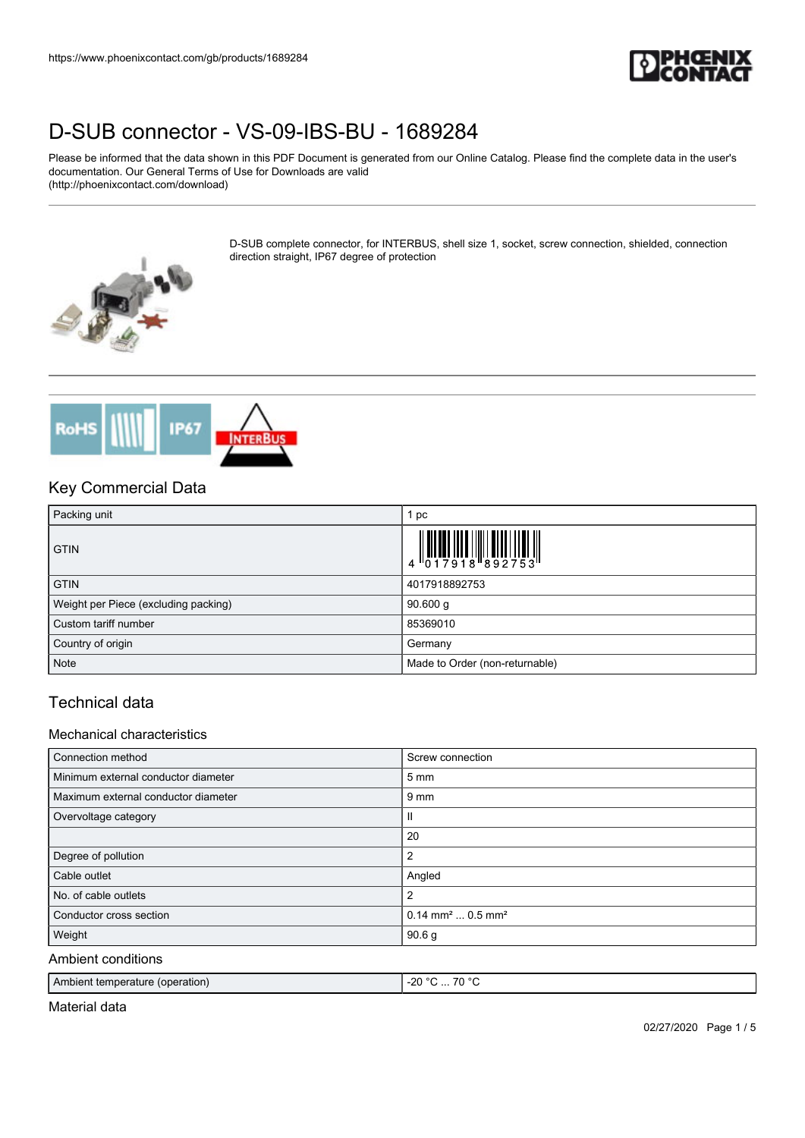

Please be informed that the data shown in this PDF Document is generated from our Online Catalog. Please find the complete data in the user's documentation. Our General Terms of Use for Downloads are valid (http://phoenixcontact.com/download)

> D-SUB complete connector, for INTERBUS, shell size 1, socket, screw connection, shielded, connection direction straight, IP67 degree of protection





## Key Commercial Data

| Packing unit                         | 1 pc                                                                                                                                                                                                                                                                                                                           |
|--------------------------------------|--------------------------------------------------------------------------------------------------------------------------------------------------------------------------------------------------------------------------------------------------------------------------------------------------------------------------------|
| <b>GTIN</b>                          | $\begin{array}{c} 1 & 0 & 0 & 0 \\ 0 & 1 & 0 & 0 \\ 0 & 1 & 0 & 0 \\ 0 & 0 & 1 & 0 \\ 0 & 0 & 0 & 0 \\ 0 & 0 & 0 & 0 \\ 0 & 0 & 0 & 0 \\ 0 & 0 & 0 & 0 \\ 0 & 0 & 0 & 0 \\ 0 & 0 & 0 & 0 \\ 0 & 0 & 0 & 0 \\ 0 & 0 & 0 & 0 & 0 \\ 0 & 0 & 0 & 0 & 0 \\ 0 & 0 & 0 & 0 & 0 \\ 0 & 0 & 0 & 0 & 0 & 0 \\ 0 & 0 & 0 & 0 & 0 & 0 \\$ |
| <b>GTIN</b>                          | 4017918892753                                                                                                                                                                                                                                                                                                                  |
| Weight per Piece (excluding packing) | $90.600$ g                                                                                                                                                                                                                                                                                                                     |
| Custom tariff number                 | 85369010                                                                                                                                                                                                                                                                                                                       |
| Country of origin                    | Germany                                                                                                                                                                                                                                                                                                                        |
| Note                                 | Made to Order (non-returnable)                                                                                                                                                                                                                                                                                                 |

# Technical data

#### Mechanical characteristics

| Connection method                   | Screw connection                             |
|-------------------------------------|----------------------------------------------|
| Minimum external conductor diameter | $5 \, \text{mm}$                             |
| Maximum external conductor diameter | $9 \text{ mm}$                               |
| Overvoltage category                | Ш                                            |
|                                     | 20                                           |
| Degree of pollution                 | 2                                            |
| Cable outlet                        | Angled                                       |
| No. of cable outlets                | 2                                            |
| Conductor cross section             | $0.14$ mm <sup>2</sup> $0.5$ mm <sup>2</sup> |
| Weight                              | 90.6 <sub>g</sub>                            |
| .                                   |                                              |

#### Ambient conditions

| : (operation)<br>. Ambient temperature | 70 °C<br>$\circ$<br>$-20$<br>-<br>$\sim$ |
|----------------------------------------|------------------------------------------|
|                                        |                                          |

Material data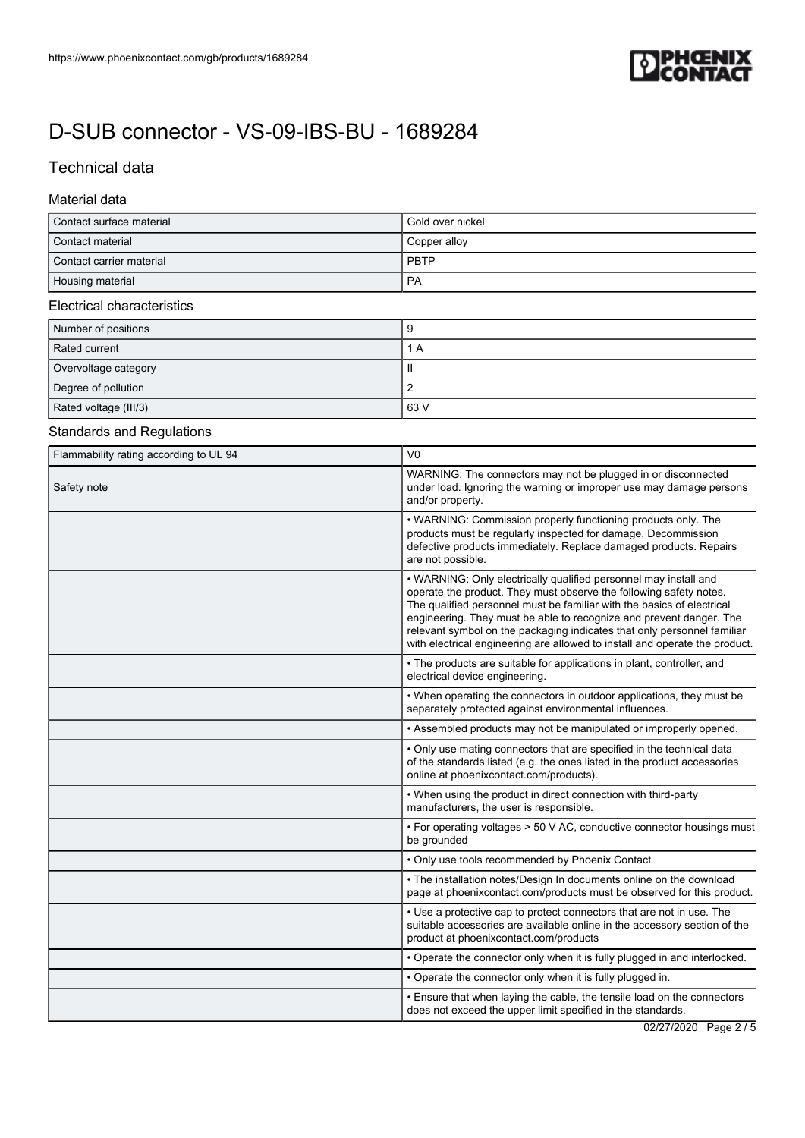

# Technical data

#### Material data

| Contact surface material | l Gold over nickel |
|--------------------------|--------------------|
| Contact material         | Copper alloy       |
| Contact carrier material | <b>PBTP</b>        |
| Housing material         | <b>PA</b>          |

### Electrical characteristics

| Number of positions   | Y    |
|-----------------------|------|
| Rated current         | 1 A  |
| Overvoltage category  | H    |
| Degree of pollution   |      |
| Rated voltage (III/3) | 63 V |

#### Standards and Regulations

| Flammability rating according to UL 94 | V <sub>0</sub>                                                                                                                                                                                                                                                                                                                                                                                                                                    |
|----------------------------------------|---------------------------------------------------------------------------------------------------------------------------------------------------------------------------------------------------------------------------------------------------------------------------------------------------------------------------------------------------------------------------------------------------------------------------------------------------|
| Safety note                            | WARNING: The connectors may not be plugged in or disconnected<br>under load. Ignoring the warning or improper use may damage persons<br>and/or property.                                                                                                                                                                                                                                                                                          |
|                                        | • WARNING: Commission properly functioning products only. The<br>products must be regularly inspected for damage. Decommission<br>defective products immediately. Replace damaged products. Repairs<br>are not possible.                                                                                                                                                                                                                          |
|                                        | . WARNING: Only electrically qualified personnel may install and<br>operate the product. They must observe the following safety notes.<br>The qualified personnel must be familiar with the basics of electrical<br>engineering. They must be able to recognize and prevent danger. The<br>relevant symbol on the packaging indicates that only personnel familiar<br>with electrical engineering are allowed to install and operate the product. |
|                                        | • The products are suitable for applications in plant, controller, and<br>electrical device engineering.                                                                                                                                                                                                                                                                                                                                          |
|                                        | • When operating the connectors in outdoor applications, they must be<br>separately protected against environmental influences.                                                                                                                                                                                                                                                                                                                   |
|                                        | • Assembled products may not be manipulated or improperly opened.                                                                                                                                                                                                                                                                                                                                                                                 |
|                                        | . Only use mating connectors that are specified in the technical data<br>of the standards listed (e.g. the ones listed in the product accessories<br>online at phoenixcontact.com/products).                                                                                                                                                                                                                                                      |
|                                        | • When using the product in direct connection with third-party<br>manufacturers, the user is responsible.                                                                                                                                                                                                                                                                                                                                         |
|                                        | • For operating voltages > 50 V AC, conductive connector housings must<br>be grounded                                                                                                                                                                                                                                                                                                                                                             |
|                                        | • Only use tools recommended by Phoenix Contact                                                                                                                                                                                                                                                                                                                                                                                                   |
|                                        | • The installation notes/Design In documents online on the download<br>page at phoenixcontact.com/products must be observed for this product.                                                                                                                                                                                                                                                                                                     |
|                                        | • Use a protective cap to protect connectors that are not in use. The<br>suitable accessories are available online in the accessory section of the<br>product at phoenixcontact.com/products                                                                                                                                                                                                                                                      |
|                                        | • Operate the connector only when it is fully plugged in and interlocked.                                                                                                                                                                                                                                                                                                                                                                         |
|                                        | • Operate the connector only when it is fully plugged in.                                                                                                                                                                                                                                                                                                                                                                                         |
|                                        | . Ensure that when laying the cable, the tensile load on the connectors<br>does not exceed the upper limit specified in the standards.                                                                                                                                                                                                                                                                                                            |
|                                        | 02/27/2020 Page 2/5                                                                                                                                                                                                                                                                                                                                                                                                                               |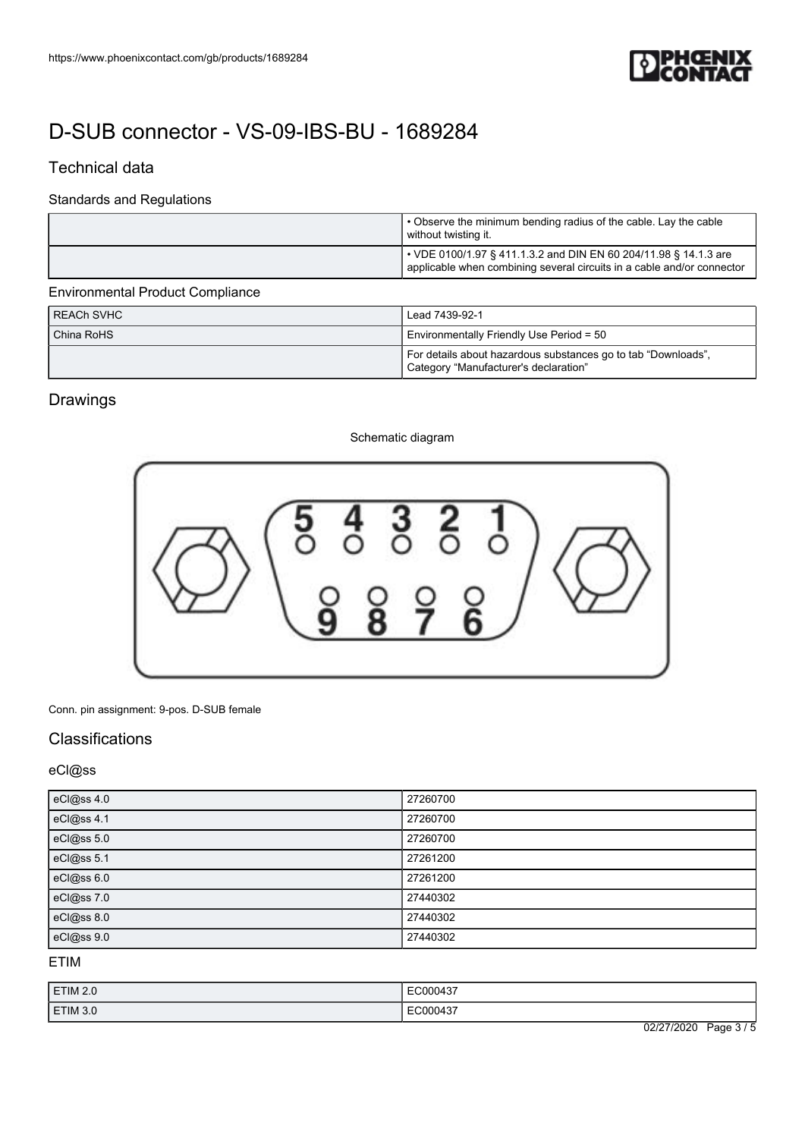

## Technical data

#### Standards and Regulations

| $\cdot$ Observe the minimum bending radius of the cable. Lay the cable<br>without twisting it.                                             |
|--------------------------------------------------------------------------------------------------------------------------------------------|
| ⋅ VDE 0100/1.97 § 411.1.3.2 and DIN EN 60 204/11.98 § 14.1.3 are<br>applicable when combining several circuits in a cable and/or connector |

#### Environmental Product Compliance

| <b>REACH SVHC</b> | Lead 7439-92-1                                                                                         |
|-------------------|--------------------------------------------------------------------------------------------------------|
| China RoHS        | Environmentally Friendly Use Period = 50                                                               |
|                   | For details about hazardous substances go to tab "Downloads",<br>Category "Manufacturer's declaration" |

# Drawings

#### Schematic diagram



Conn. pin assignment: 9-pos. D-SUB female

## **Classifications**

#### eCl@ss

| eCl@ss 4.0 | 27260700 |
|------------|----------|
| eCl@ss 4.1 | 27260700 |
| eCl@ss 5.0 | 27260700 |
| eCl@ss 5.1 | 27261200 |
| eCl@ss 6.0 | 27261200 |
| eCl@ss 7.0 | 27440302 |
| eCl@ss 8.0 | 27440302 |
| eCl@ss 9.0 | 27440302 |

ETIM

| ETIM 2.0 | EC000437                 |
|----------|--------------------------|
| ETIM 3.0 | EC000437                 |
|          | 02/27/2020<br>Page 3 / 5 |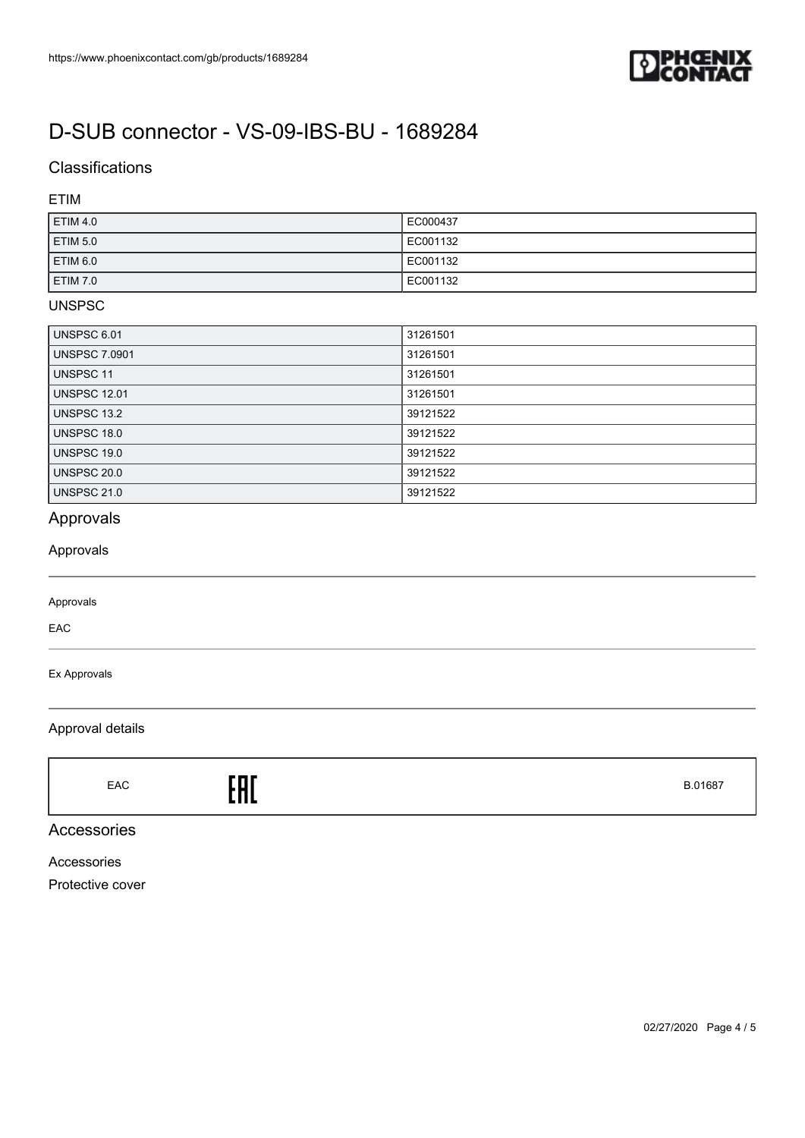

## **Classifications**

#### ETIM

| ETIM 4.0        | EC000437 |
|-----------------|----------|
| ETIM 5.0        | EC001132 |
| <b>ETIM 6.0</b> | EC001132 |
| <b>ETIM 7.0</b> | EC001132 |

#### UNSPSC

| <b>UNSPSC 6.01</b>   | 31261501 |
|----------------------|----------|
| <b>UNSPSC 7.0901</b> | 31261501 |
| UNSPSC 11            | 31261501 |
| <b>UNSPSC 12.01</b>  | 31261501 |
| <b>UNSPSC 13.2</b>   | 39121522 |
| UNSPSC 18.0          | 39121522 |
| UNSPSC 19.0          | 39121522 |
| <b>UNSPSC 20.0</b>   | 39121522 |
| <b>UNSPSC 21.0</b>   | 39121522 |

# Approvals

#### Approvals

#### Approvals

EAC

#### Ex Approvals

#### Approval details

# $E = 5.01687$

#### Accessories

#### Accessories

Protective cover